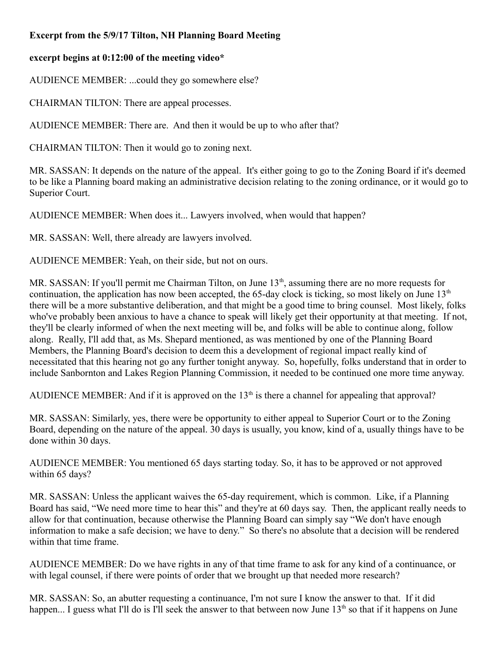## **Excerpt from the 5/9/17 Tilton, NH Planning Board Meeting**

## **excerpt begins at 0:12:00 of the meeting video\***

AUDIENCE MEMBER: ...could they go somewhere else?

CHAIRMAN TILTON: There are appeal processes.

AUDIENCE MEMBER: There are. And then it would be up to who after that?

CHAIRMAN TILTON: Then it would go to zoning next.

MR. SASSAN: It depends on the nature of the appeal. It's either going to go to the Zoning Board if it's deemed to be like a Planning board making an administrative decision relating to the zoning ordinance, or it would go to Superior Court.

AUDIENCE MEMBER: When does it... Lawyers involved, when would that happen?

MR. SASSAN: Well, there already are lawyers involved.

AUDIENCE MEMBER: Yeah, on their side, but not on ours.

MR. SASSAN: If you'll permit me Chairman Tilton, on June 13<sup>th</sup>, assuming there are no more requests for continuation, the application has now been accepted, the 65-day clock is ticking, so most likely on June  $13<sup>th</sup>$ there will be a more substantive deliberation, and that might be a good time to bring counsel. Most likely, folks who've probably been anxious to have a chance to speak will likely get their opportunity at that meeting. If not, they'll be clearly informed of when the next meeting will be, and folks will be able to continue along, follow along. Really, I'll add that, as Ms. Shepard mentioned, as was mentioned by one of the Planning Board Members, the Planning Board's decision to deem this a development of regional impact really kind of necessitated that this hearing not go any further tonight anyway. So, hopefully, folks understand that in order to include Sanbornton and Lakes Region Planning Commission, it needed to be continued one more time anyway.

AUDIENCE MEMBER: And if it is approved on the  $13<sup>th</sup>$  is there a channel for appealing that approval?

MR. SASSAN: Similarly, yes, there were be opportunity to either appeal to Superior Court or to the Zoning Board, depending on the nature of the appeal. 30 days is usually, you know, kind of a, usually things have to be done within 30 days.

AUDIENCE MEMBER: You mentioned 65 days starting today. So, it has to be approved or not approved within 65 days?

MR. SASSAN: Unless the applicant waives the 65-day requirement, which is common. Like, if a Planning Board has said, "We need more time to hear this" and they're at 60 days say. Then, the applicant really needs to allow for that continuation, because otherwise the Planning Board can simply say "We don't have enough information to make a safe decision; we have to deny." So there's no absolute that a decision will be rendered within that time frame.

AUDIENCE MEMBER: Do we have rights in any of that time frame to ask for any kind of a continuance, or with legal counsel, if there were points of order that we brought up that needed more research?

MR. SASSAN: So, an abutter requesting a continuance, I'm not sure I know the answer to that. If it did happen... I guess what I'll do is I'll seek the answer to that between now June  $13<sup>th</sup>$  so that if it happens on June